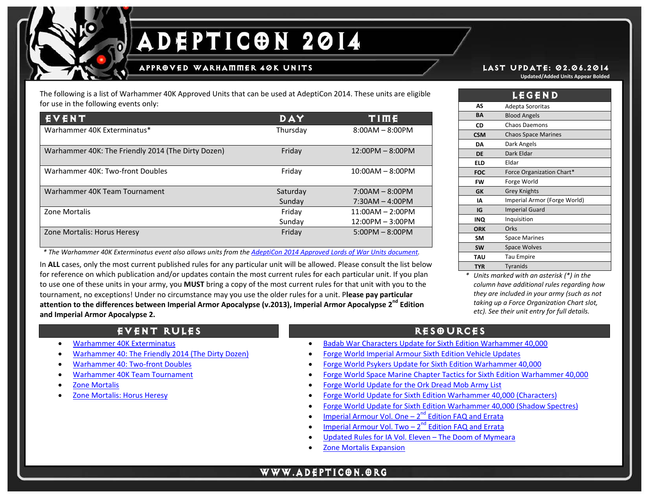### APPR@VED WARHAMMER 40K UNITS LAST UPDATE: 02.06.2014

The following is a list of Warhammer 40K Approved Units that can be used at AdeptiCon 2014. These units are eligible for use in the following events only:

| EVENT                                              | DAY      | TIME               |
|----------------------------------------------------|----------|--------------------|
| Warhammer 40K Exterminatus*                        | Thursday | $8:00AM - 8:00PM$  |
| Warhammer 40K: The Friendly 2014 (The Dirty Dozen) | Friday   | $12:00PM - 8:00PM$ |
| Warhammer 40K: Two-front Doubles                   | Friday   | $10:00AM - 8:00PM$ |
| Warhammer 40K Team Tournament                      | Saturday | $7:00AM - 8:00PM$  |
|                                                    | Sunday   | $7:30AM - 4:00PM$  |
| Zone Mortalis                                      | Friday   | $11:00AM - 2:00PM$ |
|                                                    | Sunday   | $12:00PM - 3:00PM$ |
| Zone Mortalis: Horus Heresy                        | Friday   | $5:00PM - 8:00PM$  |

 *\* The Warhammer 40K Exterminatus event also allows units from th[e AdeptiCon 2014 Approved Lords of War Units document.](http://www.adepticon.org/14rules/201440KLoWapproved.pdf)*

In **ALL** cases, only the most current published rules for any particular unit will be allowed. Please consult the list below for reference on which publication and/or updates contain the most current rules for each particular unit. If you plan to use one of these units in your army, you **MUST** bring a copy of the most current rules for that unit with you to the tournament, no exceptions! Under no circumstance may you use the older rules for a unit. P**lease pay particular attention to the differences between Imperial Armor Apocalypse (v.2013), Imperial Armor Apocalypse 2nd Edition and Imperial Armor Apocalypse 2.**

**Updated/Added Units Appear Bolded**

|            | <b>LEGEND</b>                |
|------------|------------------------------|
| AS         | Adepta Sororitas             |
| BΑ         | <b>Blood Angels</b>          |
| CD         | <b>Chaos Daemons</b>         |
| <b>CSM</b> | <b>Chaos Space Marines</b>   |
| DA         | Dark Angels                  |
| <b>DE</b>  | Dark Eldar                   |
| ELD        | Eldar                        |
| <b>FOC</b> | Force Organization Chart*    |
| FW         | Forge World                  |
| GK         | <b>Grey Knights</b>          |
| IA         | Imperial Armor (Forge World) |
| IG         | <b>Imperial Guard</b>        |
| INQ        | Inquisition                  |
| <b>ORK</b> | Orks                         |
| <b>SM</b>  | <b>Space Marines</b>         |
| <b>SW</b>  | <b>Space Wolves</b>          |
| <b>TAU</b> | <b>Tau Empire</b>            |
| <b>TYR</b> | <b>Tyranids</b>              |

*<sup>\*</sup> Units marked with an asterisk (\*) in the column have additional rules regarding how they are included in your army (such as not taking up a Force Organization Chart slot, etc). See their unit entry for full details.*

## EVENT RULES **RESOURCES**

- [Warhammer 40K Exterminatus](http://www.adepticon.org/14rules/201440Kexterminatus.pdf)
- [Warhammer 40: The Friendly 2014 \(The Dirty Dozen\)](http://www.adepticon.org/14rules/201440Kfriendly.pdf)
- [Warhammer 40: Two-front Doubles](http://www.adepticon.org/14rules/201440Ktwofront.pdf)
- [Warhammer 40K Team Tournament](http://www.adepticon.org/14rules/201440Kteam.pdf)
- **[Zone Mortalis](http://www.adepticon.org/14rules/2014zm.pdf)**
- [Zone Mortalis: Horus Heresy](http://www.adepticon.org/14rules/2014zmhh.pdf)

• [Badab War Characters Update for Sixth Edition Warhammer 40,000](http://www.forgeworld.co.uk/Downloads/Product/PDF/B/badabupdate-v2.pdf)

j

- [Forge World Imperial Armour Sixth Edition Vehicle Updates](http://www.forgeworld.co.uk/Downloads/Product/PDF/v/vehicle6thupdates.pdf)
- Forge World Psykers Update for [Sixth Edition Warhammer 40,000](http://www.forgeworld.co.uk/Downloads/Product/PDF/p/Psykers.pdf)
- [Forge World Space Marine Chapter Tactics for Sixth Edition Warhammer 40,000](http://www.forgeworld.co.uk/Downloads/Product/PDF/B/FWchaptertactics-v2.pdf)
- [Forge World Update for the Ork Dread Mob Army List](http://www.forgeworld.co.uk/Downloads/Product/PDF/d/Dred_Mob.pdf)
- [Forge World Update for Sixth Edition Warhammer 40,000 \(Characters\)](http://www.forgeworld.co.uk/Downloads/Product/PDF/c/Characters.pdf)
- [Forge World Update for Sixth Edition Warhammer 40,000 \(Shadow Spectres\)](http://www.forgeworld.co.uk/Downloads/Product/PDF/s/shadowspectres.pdf)
- Imperial Armour Vol. One  $-2^{nd}$  Edition FAQ and Errata
- Imperial Armour Vol. Two  $-2^{nd}$  Edition FAQ and Errata
- [Updated Rules for IA Vol. Eleven –](http://www.forgeworld.co.uk/Downloads/Product/PDF/I/Irillyth-2.pdf) The Doom of Mymeara
- [Zone Mortalis Expansion](http://www.forgeworld.co.uk/Downloads/Product/PDF/z/ZM6thUpdate.pdf)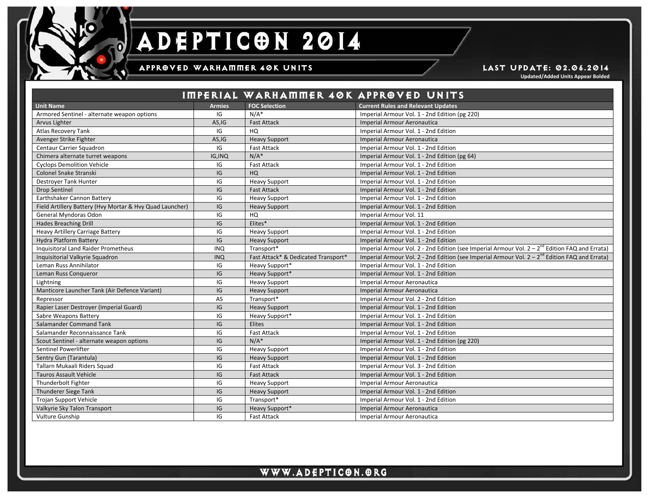

### APPROVED WARHAMMER 40K UNITS **Example 2008** LAST UPDATE: 02.06.2014

j

**Updated/Added Units Appear Bolded**

|                                                          |               |                                     | IMPERIAL WARHAMMER 40K APPROVED UNITS                                                               |
|----------------------------------------------------------|---------------|-------------------------------------|-----------------------------------------------------------------------------------------------------|
| <b>Unit Name</b>                                         | <b>Armies</b> | <b>FOC Selection</b>                | <b>Current Rules and Relevant Updates</b>                                                           |
| Armored Sentinel - alternate weapon options              | IG            | $N/A^*$                             | Imperial Armour Vol. 1 - 2nd Edition (pg 220)                                                       |
| Arvus Lighter                                            | AS,IG         | <b>Fast Attack</b>                  | Imperial Armour Aeronautica                                                                         |
| <b>Atlas Recovery Tank</b>                               | IG            | HQ                                  | Imperial Armour Vol. 1 - 2nd Edition                                                                |
| Avenger Strike Fighter                                   | AS,IG         | <b>Heavy Support</b>                | Imperial Armour Aeronautica                                                                         |
| Centaur Carrier Squadron                                 | IG            | <b>Fast Attack</b>                  | Imperial Armour Vol. 1 - 2nd Edition                                                                |
| Chimera alternate turret weapons                         | IG, INQ       | $N/A^*$                             | Imperial Armour Vol. 1 - 2nd Edition (pg 64)                                                        |
| <b>Cyclops Demolition Vehicle</b>                        | IG            | <b>Fast Attack</b>                  | Imperial Armour Vol. 1 - 2nd Edition                                                                |
| Colonel Snake Stranski                                   | IG            | HQ                                  | Imperial Armour Vol. 1 - 2nd Edition                                                                |
| <b>Destroyer Tank Hunter</b>                             | IG            | <b>Heavy Support</b>                | Imperial Armour Vol. 1 - 2nd Edition                                                                |
| <b>Drop Sentinel</b>                                     | IG            | <b>Fast Attack</b>                  | Imperial Armour Vol. 1 - 2nd Edition                                                                |
| Earthshaker Cannon Battery                               | IG            | <b>Heavy Support</b>                | Imperial Armour Vol. 1 - 2nd Edition                                                                |
| Field Artillery Battery (Hvy Mortar & Hvy Quad Launcher) | IG            | <b>Heavy Support</b>                | Imperial Armour Vol. 1 - 2nd Edition                                                                |
| General Myndoras Odon                                    | IG            | HQ                                  | Imperial Armour Vol. 11                                                                             |
| <b>Hades Breaching Drill</b>                             | IG            | Elites*                             | Imperial Armour Vol. 1 - 2nd Edition                                                                |
| <b>Heavy Artillery Carriage Battery</b>                  | IG            | <b>Heavy Support</b>                | Imperial Armour Vol. 1 - 2nd Edition                                                                |
| <b>Hydra Platform Battery</b>                            | IG            | <b>Heavy Support</b>                | Imperial Armour Vol. 1 - 2nd Edition                                                                |
| Inquisitoral Land Raider Prometheus                      | <b>INQ</b>    | Transport*                          | Imperial Armour Vol. 2 - 2nd Edition (see Imperial Armour Vol. $2 - 2^{nd}$ Edition FAQ and Errata) |
| Inquisitorial Valkyrie Squadron                          | <b>INQ</b>    | Fast Attack* & Dedicated Transport* | Imperial Armour Vol. 2 - 2nd Edition (see Imperial Armour Vol. $2 - 2^{nd}$ Edition FAQ and Errata) |
| Leman Russ Annihilator                                   | IG            | Heavy Support*                      | Imperial Armour Vol. 1 - 2nd Edition                                                                |
| Leman Russ Conqueror                                     | IG            | Heavy Support*                      | Imperial Armour Vol. 1 - 2nd Edition                                                                |
| Lightning                                                | IG            | <b>Heavy Support</b>                | Imperial Armour Aeronautica                                                                         |
| Manticore Launcher Tank (Air Defence Variant)            | IG            | <b>Heavy Support</b>                | Imperial Armour Aeronautica                                                                         |
| Repressor                                                | AS            | Transport*                          | Imperial Armour Vol. 2 - 2nd Edition                                                                |
| Rapier Laser Destroyer (Imperial Guard)                  | IG            | <b>Heavy Support</b>                | Imperial Armour Vol. 1 - 2nd Edition                                                                |
| Sabre Weapons Battery                                    | IG            | Heavy Support*                      | Imperial Armour Vol. 1 - 2nd Edition                                                                |
| Salamander Command Tank                                  | IG            | <b>Elites</b>                       | Imperial Armour Vol. 1 - 2nd Edition                                                                |
| Salamander Reconnaissance Tank                           | IG            | <b>Fast Attack</b>                  | Imperial Armour Vol. 1 - 2nd Edition                                                                |
| Scout Sentinel - alternate weapon options                | IG            | $N/A^*$                             | Imperial Armour Vol. 1 - 2nd Edition (pg 220)                                                       |
| Sentinel Powerlifter                                     | IG            | <b>Heavy Support</b>                | Imperial Armour Vol. 1 - 2nd Edition                                                                |
| Sentry Gun (Tarantula)                                   | IG            | <b>Heavy Support</b>                | Imperial Armour Vol. 1 - 2nd Edition                                                                |
| Tallarn Mukaali Riders Squad                             | IG            | <b>Fast Attack</b>                  | Imperial Armour Vol. 3 - 2nd Edition                                                                |
| <b>Tauros Assault Vehicle</b>                            | IG            | <b>Fast Attack</b>                  | Imperial Armour Vol. 1 - 2nd Edition                                                                |
| Thunderbolt Fighter                                      | IG            | <b>Heavy Support</b>                | <b>Imperial Armour Aeronautica</b>                                                                  |
| <b>Thunderer Siege Tank</b>                              | IG            | <b>Heavy Support</b>                | Imperial Armour Vol. 1 - 2nd Edition                                                                |
| Trojan Support Vehicle                                   | IG            | Transport*                          | Imperial Armour Vol. 1 - 2nd Edition                                                                |
| Valkyrie Sky Talon Transport                             | IG            | Heavy Support*                      | Imperial Armour Aeronautica                                                                         |
| <b>Vulture Gunship</b>                                   | IG            | <b>Fast Attack</b>                  | <b>Imperial Armour Aeronautica</b>                                                                  |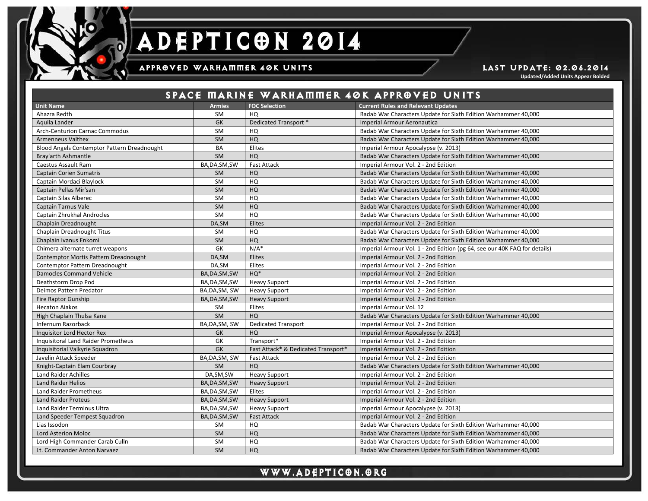

### APPROVED WARHAMMER 40K UNITS **Example 2008** LAST UPDATE: 02.06.2014

j

**Updated/Added Units Appear Bolded**

|                                             |                |                                     | SPACE MARINE WARHAMMER 40K APPROVED UNITS                                 |
|---------------------------------------------|----------------|-------------------------------------|---------------------------------------------------------------------------|
| <b>Unit Name</b>                            | <b>Armies</b>  | <b>FOC Selection</b>                | <b>Current Rules and Relevant Updates</b>                                 |
| Ahazra Redth                                | <b>SM</b>      | HQ                                  | Badab War Characters Update for Sixth Edition Warhammer 40,000            |
| Aguila Lander                               | GK             | Dedicated Transport *               | <b>Imperial Armour Aeronautica</b>                                        |
| <b>Arch-Centurion Carnac Commodus</b>       | <b>SM</b>      | HQ                                  | Badab War Characters Update for Sixth Edition Warhammer 40,000            |
| <b>Armenneus Valthex</b>                    | <b>SM</b>      | HQ                                  | Badab War Characters Update for Sixth Edition Warhammer 40,000            |
| Blood Angels Contemptor Pattern Dreadnought | <b>BA</b>      | Elites                              | Imperial Armour Apocalypse (v. 2013)                                      |
| Bray'arth Ashmantle                         | <b>SM</b>      | HQ                                  | Badab War Characters Update for Sixth Edition Warhammer 40,000            |
| Caestus Assault Ram                         | BA, DA, SM, SW | <b>Fast Attack</b>                  | Imperial Armour Vol. 2 - 2nd Edition                                      |
| <b>Captain Corien Sumatris</b>              | <b>SM</b>      | HQ                                  | Badab War Characters Update for Sixth Edition Warhammer 40,000            |
| Captain Mordaci Blaylock                    | <b>SM</b>      | HQ                                  | Badab War Characters Update for Sixth Edition Warhammer 40,000            |
| Captain Pellas Mir'san                      | <b>SM</b>      | HQ                                  | Badab War Characters Update for Sixth Edition Warhammer 40,000            |
| Captain Silas Alberec                       | SM             | HQ                                  | Badab War Characters Update for Sixth Edition Warhammer 40,000            |
| <b>Captain Tarnus Vale</b>                  | SM             | HQ                                  | Badab War Characters Update for Sixth Edition Warhammer 40,000            |
| Captain Zhrukhal Androcles                  | <b>SM</b>      | HQ                                  | Badab War Characters Update for Sixth Edition Warhammer 40,000            |
| Chaplain Dreadnought                        | DA.SM          | Elites                              | Imperial Armour Vol. 2 - 2nd Edition                                      |
| Chaplain Dreadnought Titus                  | <b>SM</b>      | HQ                                  | Badab War Characters Update for Sixth Edition Warhammer 40,000            |
| Chaplain Ivanus Enkomi                      | SM             | HQ                                  | Badab War Characters Update for Sixth Edition Warhammer 40,000            |
| Chimera alternate turret weapons            | GK             | $N/A^*$                             | Imperial Armour Vol. 1 - 2nd Edition (pg 64, see our 40K FAQ for details) |
| Contemptor Mortis Pattern Dreadnought       | DA, SM         | Elites                              | Imperial Armour Vol. 2 - 2nd Edition                                      |
| Contemptor Pattern Dreadnought              | DA, SM         | Elites                              | Imperial Armour Vol. 2 - 2nd Edition                                      |
| <b>Damocles Command Vehicle</b>             | BA, DA, SM, SW | $HQ*$                               | Imperial Armour Vol. 2 - 2nd Edition                                      |
| Deathstorm Drop Pod                         | BA, DA, SM, SW | <b>Heavy Support</b>                | Imperial Armour Vol. 2 - 2nd Edition                                      |
| Deimos Pattern Predator                     | BA, DA, SM, SW | <b>Heavy Support</b>                | Imperial Armour Vol. 2 - 2nd Edition                                      |
| <b>Fire Raptor Gunship</b>                  | BA, DA, SM, SW | <b>Heavy Support</b>                | Imperial Armour Vol. 2 - 2nd Edition                                      |
| <b>Hecaton Aiakos</b>                       | <b>SM</b>      | Elites                              | Imperial Armour Vol. 12                                                   |
| High Chaplain Thulsa Kane                   | SM             | HQ                                  | Badab War Characters Update for Sixth Edition Warhammer 40,000            |
| Infernum Razorback                          | BA, DA, SM, SW | <b>Dedicated Transport</b>          | Imperial Armour Vol. 2 - 2nd Edition                                      |
| <b>Inquisitor Lord Hector Rex</b>           | GK             | HQ                                  | Imperial Armour Apocalypse (v. 2013)                                      |
| <b>Inquisitoral Land Raider Prometheus</b>  | GK             | Transport*                          | Imperial Armour Vol. 2 - 2nd Edition                                      |
| Inquisitorial Valkyrie Squadron             | <b>GK</b>      | Fast Attack* & Dedicated Transport* | Imperial Armour Vol. 2 - 2nd Edition                                      |
| Javelin Attack Speeder                      | BA, DA, SM, SW | <b>Fast Attack</b>                  | Imperial Armour Vol. 2 - 2nd Edition                                      |
| Knight-Captain Elam Courbray                | <b>SM</b>      | HQ                                  | Badab War Characters Update for Sixth Edition Warhammer 40,000            |
| Land Raider Achilles                        | DA, SM, SW     | <b>Heavy Support</b>                | Imperial Armour Vol. 2 - 2nd Edition                                      |
| <b>Land Raider Helios</b>                   | BA, DA, SM, SW | <b>Heavy Support</b>                | Imperial Armour Vol. 2 - 2nd Edition                                      |
| Land Raider Prometheus                      | BA, DA, SM, SW | Elites                              | Imperial Armour Vol. 2 - 2nd Edition                                      |
| <b>Land Raider Proteus</b>                  | BA, DA, SM, SW | <b>Heavy Support</b>                | Imperial Armour Vol. 2 - 2nd Edition                                      |
| Land Raider Terminus Ultra                  | BA, DA, SM, SW | <b>Heavy Support</b>                | Imperial Armour Apocalypse (v. 2013)                                      |
| Land Speeder Tempest Squadron               | BA, DA, SM, SW | <b>Fast Attack</b>                  | Imperial Armour Vol. 2 - 2nd Edition                                      |
| Lias Issodon                                | <b>SM</b>      | HQ                                  | Badab War Characters Update for Sixth Edition Warhammer 40,000            |
| <b>Lord Asterion Moloc</b>                  | SM             | HQ                                  | Badab War Characters Update for Sixth Edition Warhammer 40,000            |
| Lord High Commander Carab Culln             | <b>SM</b>      | HQ                                  | Badab War Characters Update for Sixth Edition Warhammer 40,000            |
| Lt. Commander Anton Narvaez                 | <b>SM</b>      | HQ                                  | Badab War Characters Update for Sixth Edition Warhammer 40,000            |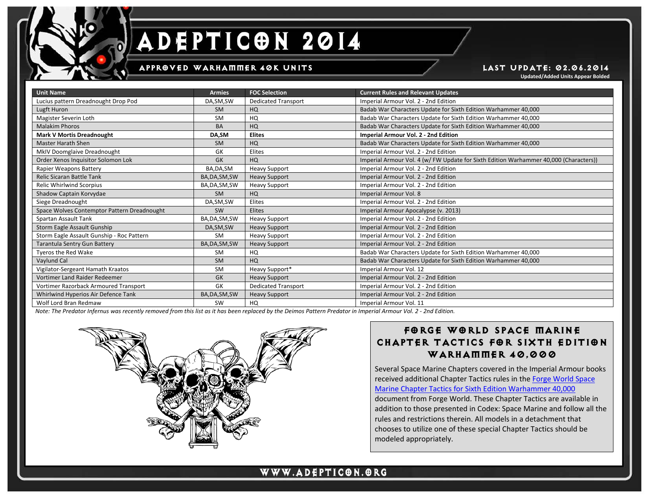

# DEPTICON 2014 Δ

### APPR@VED WARHAMMER 40K UNITS LAST UPDATE: 02.06.2014

**Updated/Added Units Appear Bolded**

| <b>Unit Name</b>                            | <b>Armies</b>  | <b>FOC Selection</b>       | <b>Current Rules and Relevant Updates</b>                                             |
|---------------------------------------------|----------------|----------------------------|---------------------------------------------------------------------------------------|
| Lucius pattern Dreadnought Drop Pod         | DA, SM, SW     | <b>Dedicated Transport</b> | Imperial Armour Vol. 2 - 2nd Edition                                                  |
| Lugft Huron                                 | <b>SM</b>      | HQ                         | Badab War Characters Update for Sixth Edition Warhammer 40,000                        |
| Magister Severin Loth                       | <b>SM</b>      | HQ                         | Badab War Characters Update for Sixth Edition Warhammer 40,000                        |
| <b>Malakim Phoros</b>                       | <b>BA</b>      | HQ                         | Badab War Characters Update for Sixth Edition Warhammer 40,000                        |
| <b>Mark V Mortis Dreadnought</b>            | DA,SM          | <b>Elites</b>              | <b>Imperial Armour Vol. 2 - 2nd Edition</b>                                           |
| <b>Master Harath Shen</b>                   | <b>SM</b>      | HQ                         | Badab War Characters Update for Sixth Edition Warhammer 40,000                        |
| MkIV Doomglaive Dreadnought                 | GK             | Elites                     | Imperial Armour Vol. 2 - 2nd Edition                                                  |
| Order Xenos Inquisitor Solomon Lok          | <b>GK</b>      | HQ                         | Imperial Armour Vol. 4 (w/ FW Update for Sixth Edition Warhammer 40,000 (Characters)) |
| Rapier Weapons Battery                      | BA, DA, SM     | <b>Heavy Support</b>       | Imperial Armour Vol. 2 - 2nd Edition                                                  |
| Relic Sicaran Battle Tank                   | BA, DA, SM, SW | <b>Heavy Support</b>       | Imperial Armour Vol. 2 - 2nd Edition                                                  |
| Relic Whirlwind Scorpius                    | BA, DA, SM, SW | <b>Heavy Support</b>       | Imperial Armour Vol. 2 - 2nd Edition                                                  |
| Shadow Captain Korvydae                     | <b>SM</b>      | HQ                         | Imperial Armour Vol. 8                                                                |
| Siege Dreadnought                           | DA, SM, SW     | Elites                     | Imperial Armour Vol. 2 - 2nd Edition                                                  |
| Space Wolves Contemptor Pattern Dreadnought | SW             | Elites                     | Imperial Armour Apocalypse (v. 2013)                                                  |
| Spartan Assault Tank                        | BA, DA, SM, SW | <b>Heavy Support</b>       | Imperial Armour Vol. 2 - 2nd Edition                                                  |
| Storm Eagle Assault Gunship                 | DA, SM, SW     | <b>Heavy Support</b>       | Imperial Armour Vol. 2 - 2nd Edition                                                  |
| Storm Eagle Assault Gunship - Roc Pattern   | <b>SM</b>      | <b>Heavy Support</b>       | Imperial Armour Vol. 2 - 2nd Edition                                                  |
| Tarantula Sentry Gun Battery                | BA, DA, SM, SW | <b>Heavy Support</b>       | Imperial Armour Vol. 2 - 2nd Edition                                                  |
| Tyeros the Red Wake                         | <b>SM</b>      | HQ                         | Badab War Characters Update for Sixth Edition Warhammer 40,000                        |
| Vaylund Cal                                 | <b>SM</b>      | HQ                         | Badab War Characters Update for Sixth Edition Warhammer 40,000                        |
| Vigilator-Sergeant Hamath Kraatos           | <b>SM</b>      | Heavy Support*             | Imperial Armour Vol. 12                                                               |
| Vortimer Land Raider Redeemer               | <b>GK</b>      | <b>Heavy Support</b>       | Imperial Armour Vol. 2 - 2nd Edition                                                  |
| Vortimer Razorback Armoured Transport       | GK             | <b>Dedicated Transport</b> | Imperial Armour Vol. 2 - 2nd Edition                                                  |
| Whirlwind Hyperios Air Defence Tank         | BA, DA, SM, SW | <b>Heavy Support</b>       | Imperial Armour Vol. 2 - 2nd Edition                                                  |
| Wolf Lord Bran Redmaw                       | SW             | HQ                         | Imperial Armour Vol. 11                                                               |

j

*Note: The Predator Infernus was recently removed from this list as it has been replaced by the Deimos Pattern Predator in Imperial Armour Vol. 2 - 2nd Edition.*



## FORGE WORLD SPACE MARINE CHAPTER TACTICS FOR SIXTH EDITION WARHAMMER 40,000

Several Space Marine Chapters covered in the Imperial Armour books received additional Chapter Tactics rules in th[e Forge World Space](http://www.forgeworld.co.uk/Downloads/Product/PDF/B/FWchaptertactics-v2.pdf)  [Marine Chapter Tactics for Sixth Edition Warhammer 40,000](http://www.forgeworld.co.uk/Downloads/Product/PDF/B/FWchaptertactics-v2.pdf) document from Forge World. These Chapter Tactics are available in addition to those presented in Codex: Space Marine and follow all the rules and restrictions therein. All models in a detachment that chooses to utilize one of these special Chapter Tactics should be modeled appropriately.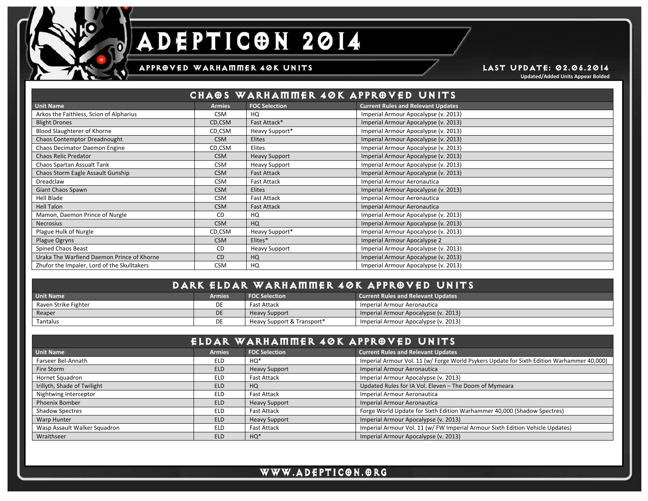

### APPROVED WARHAMMER 40K UNITS **Example 2008** LAST UPDATE: 02.06.2014

**Updated/Added Units Appear Bolded**

| CHAOS WARHAMMER 40K APPROVED UNITS          |               |                      |                                           |
|---------------------------------------------|---------------|----------------------|-------------------------------------------|
| <b>Unit Name</b>                            | <b>Armies</b> | <b>FOC Selection</b> | <b>Current Rules and Relevant Updates</b> |
| Arkos the Faithless, Scion of Alpharius     | <b>CSM</b>    | HQ                   | Imperial Armour Apocalypse (v. 2013)      |
| <b>Blight Drones</b>                        | CD,CSM        | Fast Attack*         | Imperial Armour Apocalypse (v. 2013)      |
| Blood Slaughterer of Khorne                 | CD,CSM        | Heavy Support*       | Imperial Armour Apocalypse (v. 2013)      |
| Chaos Contemptor Dreadnought                | <b>CSM</b>    | <b>Elites</b>        | Imperial Armour Apocalypse (v. 2013)      |
| Chaos Decimator Daemon Engine               | CD,CSM        | <b>Elites</b>        | Imperial Armour Apocalypse (v. 2013)      |
| <b>Chaos Relic Predator</b>                 | <b>CSM</b>    | <b>Heavy Support</b> | Imperial Armour Apocalypse (v. 2013)      |
| Chaos Spartan Assualt Tank                  | <b>CSM</b>    | <b>Heavy Support</b> | Imperial Armour Apocalypse (v. 2013)      |
| Chaos Storm Eagle Assault Gunship           | <b>CSM</b>    | <b>Fast Attack</b>   | Imperial Armour Apocalypse (v. 2013)      |
| Dreadclaw                                   | <b>CSM</b>    | <b>Fast Attack</b>   | Imperial Armour Aeronautica               |
| Giant Chaos Spawn                           | <b>CSM</b>    | <b>Elites</b>        | Imperial Armour Apocalypse (v. 2013)      |
| Hell Blade                                  | <b>CSM</b>    | <b>Fast Attack</b>   | Imperial Armour Aeronautica               |
| <b>Hell Talon</b>                           | <b>CSM</b>    | <b>Fast Attack</b>   | Imperial Armour Aeronautica               |
| Mamon, Daemon Prince of Nurgle              | CD.           | HQ                   | Imperial Armour Apocalypse (v. 2013)      |
| <b>Necrosius</b>                            | <b>CSM</b>    | HQ                   | Imperial Armour Apocalypse (v. 2013)      |
| Plague Hulk of Nurgle                       | CD,CSM        | Heavy Support*       | Imperial Armour Apocalypse (v. 2013)      |
| Plague Ogryns                               | <b>CSM</b>    | Elites*              | Imperial Armour Apocalypse 2              |
| <b>Spined Chaos Beast</b>                   | <b>CD</b>     | <b>Heavy Support</b> | Imperial Armour Apocalypse (v. 2013)      |
| Uraka The Warfiend Daemon Prince of Khorne  | <b>CD</b>     | HQ                   | Imperial Armour Apocalypse (v. 2013)      |
| Zhufor the Impaler, Lord of the Skulltakers | <b>CSM</b>    | HQ                   | Imperial Armour Apocalypse (v. 2013)      |

j

| <b>DARK ELDAR WARHAMMER 40K APPROVED UNITS!</b> |               |                            |                                           |
|-------------------------------------------------|---------------|----------------------------|-------------------------------------------|
| <b>Unit Name</b>                                | <b>Armies</b> | <b>FOC Selection</b>       | <b>Current Rules and Relevant Updates</b> |
| Raven Strike Fighter                            |               | Fast Attack                | Imperial Armour Aeronautica               |
| Reaper                                          | <b>DE</b>     | <b>Heavy Support</b>       | Imperial Armour Apocalypse (v. 2013)      |
| Tantalus                                        | DE            | Heavy Support & Transport* | Imperial Armour Apocalypse (v. 2013)      |

|                              |               | ELDAR WARHAMMER 40K APPROVED UNITS |                                                                                            |
|------------------------------|---------------|------------------------------------|--------------------------------------------------------------------------------------------|
| Unit Name                    | <b>Armies</b> | <b>FOC Selection</b>               | <b>Current Rules and Relevant Updates</b>                                                  |
| Farseer Bel-Annath           | <b>ELD</b>    | HQ*                                | Imperial Armour Vol. 11 (w/ Forge World Psykers Update for Sixth Edition Warhammer 40,000) |
| Fire Storm                   | <b>ELD</b>    | <b>Heavy Support</b>               | <b>Imperial Armour Aeronautica</b>                                                         |
| Hornet Squadron              | <b>ELD</b>    | <b>Fast Attack</b>                 | Imperial Armour Apocalypse (v. 2013)                                                       |
| Irillyth, Shade of Twilight  | <b>ELD</b>    | HQ                                 | Updated Rules for IA Vol. Eleven - The Doom of Mymeara                                     |
| Nightwing Interceptor        | ELD           | <b>Fast Attack</b>                 | Imperial Armour Aeronautica                                                                |
| <b>Phoenix Bomber</b>        | <b>ELD</b>    | <b>Heavy Support</b>               | <b>Imperial Armour Aeronautica</b>                                                         |
| <b>Shadow Spectres</b>       | ELD           | <b>Fast Attack</b>                 | Forge World Update for Sixth Edition Warhammer 40,000 (Shadow Spectres)                    |
| Warp Hunter                  | <b>ELD</b>    | <b>Heavy Support</b>               | Imperial Armour Apocalypse (v. 2013)                                                       |
| Wasp Assault Walker Squadron | <b>ELD</b>    | <b>Fast Attack</b>                 | Imperial Armour Vol. 11 (w/ FW Imperial Armour Sixth Edition Vehicle Updates)              |
| Wraithseer                   | <b>ELD</b>    | $HO*$                              | Imperial Armour Apocalypse (v. 2013)                                                       |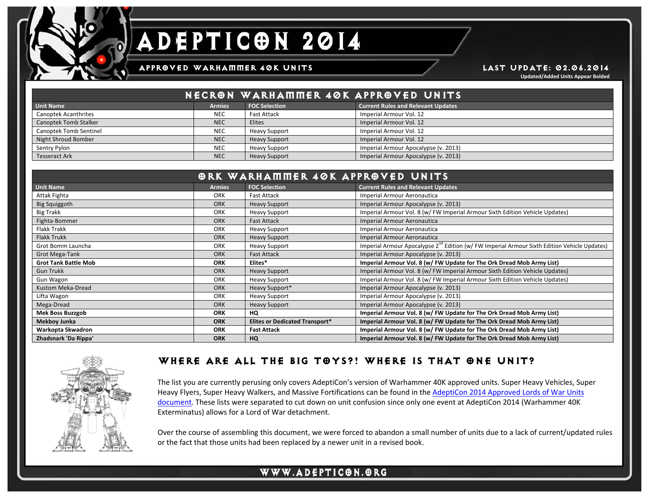

# DEPTICON 2014 A

### APPROVED WARHAMMER 40K UNITS **LAST UPDATE: 02.06.2014**

**Updated/Added Units Appear Bolded**

|                              |               | NECRON WARHAMMER 40K APPROVED UNITS |                                           |
|------------------------------|---------------|-------------------------------------|-------------------------------------------|
| <b>Unit Name</b>             | <b>Armies</b> | <b>FOC Selection</b>                | <b>Current Rules and Relevant Updates</b> |
| <b>Canoptek Acanthrites</b>  | <b>NEC</b>    | Fast Attack                         | Imperial Armour Vol. 12                   |
| <b>Canoptek Tomb Stalker</b> | <b>NEC</b>    | Elites                              | Imperial Armour Vol. 12                   |
| Canoptek Tomb Sentinel       | <b>NEC</b>    | <b>Heavy Support</b>                | Imperial Armour Vol. 12                   |
| Night Shroud Bomber          | <b>NEC</b>    | <b>Heavy Support</b>                | Imperial Armour Vol. 12                   |
| Sentry Pylon                 | <b>NEC</b>    | <b>Heavy Support</b>                | Imperial Armour Apocalypse (v. 2013)      |
| <b>Tesseract Ark</b>         | <b>NEC</b>    | <b>Heavy Support</b>                | Imperial Armour Apocalypse (v. 2013)      |

|                             | <b>ORK WARHAMMER 40K APPROVED UNITS</b> |                                       |                                                                                                          |  |
|-----------------------------|-----------------------------------------|---------------------------------------|----------------------------------------------------------------------------------------------------------|--|
| <b>Unit Name</b>            | <b>Armies</b>                           | <b>FOC Selection</b>                  | <b>Current Rules and Relevant Updates</b>                                                                |  |
| Attak Fighta                | <b>ORK</b>                              | Fast Attack                           | Imperial Armour Aeronautica                                                                              |  |
| <b>Big Squiggoth</b>        | <b>ORK</b>                              | <b>Heavy Support</b>                  | Imperial Armour Apocalypse (v. 2013)                                                                     |  |
| Big Trakk                   | <b>ORK</b>                              | <b>Heavy Support</b>                  | Imperial Armour Vol. 8 (w/ FW Imperial Armour Sixth Edition Vehicle Updates)                             |  |
| Fighta-Bommer               | <b>ORK</b>                              | <b>Fast Attack</b>                    | Imperial Armour Aeronautica                                                                              |  |
| Flakk Trakk                 | ORK                                     | <b>Heavy Support</b>                  | Imperial Armour Aeronautica                                                                              |  |
| <b>Flakk Trukk</b>          | <b>ORK</b>                              | <b>Heavy Support</b>                  | Imperial Armour Aeronautica                                                                              |  |
| Grot Bomm Launcha           | <b>ORK</b>                              | <b>Heavy Support</b>                  | Imperial Armour Apocalypse 2 <sup>nd</sup> Edition (w/ FW Imperial Armour Sixth Edition Vehicle Updates) |  |
| Grot Mega-Tank              | <b>ORK</b>                              | <b>Fast Attack</b>                    | Imperial Armour Apocalypse (v. 2013)                                                                     |  |
| <b>Grot Tank Battle Mob</b> | <b>ORK</b>                              | Elites*                               | Imperial Armour Vol. 8 (w/ FW Update for The Ork Dread Mob Army List)                                    |  |
| <b>Gun Trukk</b>            | <b>ORK</b>                              | <b>Heavy Support</b>                  | Imperial Armour Vol. 8 (w/ FW Imperial Armour Sixth Edition Vehicle Updates)                             |  |
| Gun Wagon                   | <b>ORK</b>                              | <b>Heavy Support</b>                  | Imperial Armour Vol. 8 (w/ FW Imperial Armour Sixth Edition Vehicle Updates)                             |  |
| Kustom Meka-Dread           | <b>ORK</b>                              | Heavy Support*                        | Imperial Armour Apocalypse (v. 2013)                                                                     |  |
| Lifta Wagon                 | <b>ORK</b>                              | <b>Heavy Support</b>                  | Imperial Armour Apocalypse (v. 2013)                                                                     |  |
| Mega-Dread                  | <b>ORK</b>                              | <b>Heavy Support</b>                  | Imperial Armour Apocalypse (v. 2013)                                                                     |  |
| <b>Mek Boss Buzzgob</b>     | <b>ORK</b>                              | HQ                                    | Imperial Armour Vol. 8 (w/ FW Update for The Ork Dread Mob Army List)                                    |  |
| <b>Mekboy Junka</b>         | <b>ORK</b>                              | <b>Elites or Dedicated Transport*</b> | Imperial Armour Vol. 8 (w/ FW Update for The Ork Dread Mob Army List)                                    |  |
| Warkopta Skwadron           | <b>ORK</b>                              | <b>Fast Attack</b>                    | Imperial Armour Vol. 8 (w/ FW Update for The Ork Dread Mob Army List)                                    |  |
| Zhadsnark 'Da Rippa'        | <b>ORK</b>                              | HQ                                    | Imperial Armour Vol. 8 (w/ FW Update for The Ork Dread Mob Army List)                                    |  |



## WHERE ARE ALL THE BIG TOYS?! WHERE IS THAT ONE UNIT?

The list you are currently perusing only covers AdeptiCon's version of Warhammer 40K approved units. Super Heavy Vehicles, Super Heavy Flyers, Super Heavy Walkers, and Massive Fortifications can be found in the AdeptiCon 2014 Approved Lords of War Units [document.](http://www.adepticon.org/14rules/201440KLoWapproved.pdf) These lists were separated to cut down on unit confusion since only one event at AdeptiCon 2014 (Warhammer 40K Exterminatus) allows for a Lord of War detachment.

j

Over the course of assembling this document, we were forced to abandon a small number of units due to a lack of current/updated rules or the fact that those units had been replaced by a newer unit in a revised book.